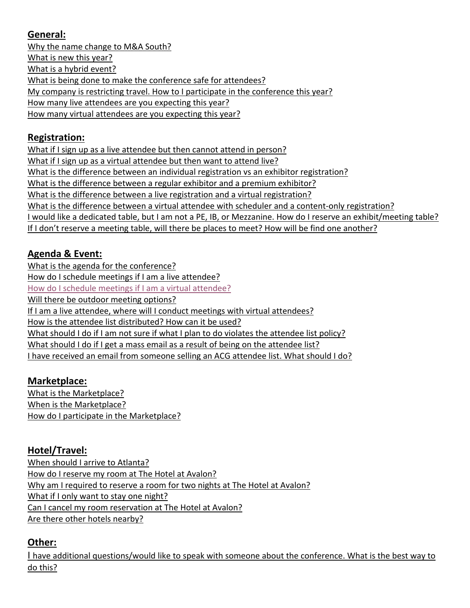# **General:**

Why the name change to M&A South? What is new this year? What is a hybrid event? What is being done to make the conference safe for attendees? My company is restricting travel. How to I participate in the conference this year? How many live attendees are you expecting this year? How many virtual attendees are you expecting this year?

# **Registration:**

What if I sign up as a live attendee but then cannot attend in person? What if I sign up as a virtual attendee but then want to attend live? What is the difference between an individual registration vs an exhibitor registration? What is the difference between a regular exhibitor and a premium exhibitor? What is the difference between a live registration and a virtual registration? What is the difference between a virtual attendee with scheduler and a content-only registration? I would like a dedicated table, but I am not a PE, IB, or Mezzanine. How do I reserve an exhibit/meeting table? If I don't reserve a meeting table, will there be places to meet? How will be find one another?

# **Agenda & Event:**

What is the agenda for the conference? How do I schedule meetings if I am a live attendee? How do I schedule meetings if I am a virtual attendee? Will there be outdoor meeting options? If I am a live attendee, where will I conduct meetings with virtual attendees? How is the attendee list distributed? How can it be used? What should I do if I am not sure if what I plan to do violates the attendee list policy? What should I do if I get a mass email as a result of being on the attendee list? I have received an email from someone selling an ACG attendee list. What should I do?

# **Marketplace:**

What is the Marketplace? When is the Marketplace? How do I participate in the Marketplace?

# **Hotel/Travel:**

When should I arrive to Atlanta? How do I reserve my room at The Hotel at Avalon? Why am I required to reserve a room for two nights at The Hotel at Avalon? What if I only want to stay one night? Can I cancel my room reservation at The Hotel at Avalon? Are there other hotels nearby?

# **Other:**

I have additional questions/would like to speak with someone about the conference. What is the best way to do this?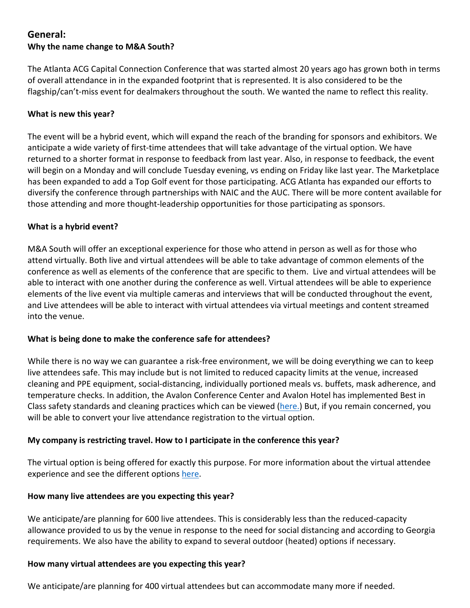## **General: Why the name change to M&A South?**

The Atlanta ACG Capital Connection Conference that was started almost 20 years ago has grown both in terms of overall attendance in in the expanded footprint that is represented. It is also considered to be the flagship/can't‐miss event for dealmakers throughout the south. We wanted the name to reflect this reality.

### **What is new this year?**

The event will be a hybrid event, which will expand the reach of the branding for sponsors and exhibitors. We anticipate a wide variety of first‐time attendees that will take advantage of the virtual option. We have returned to a shorter format in response to feedback from last year. Also, in response to feedback, the event will begin on a Monday and will conclude Tuesday evening, vs ending on Friday like last year. The Marketplace has been expanded to add a Top Golf event for those participating. ACG Atlanta has expanded our efforts to diversify the conference through partnerships with NAIC and the AUC. There will be more content available for those attending and more thought‐leadership opportunities for those participating as sponsors.

## **What is a hybrid event?**

M&A South will offer an exceptional experience for those who attend in person as well as for those who attend virtually. Both live and virtual attendees will be able to take advantage of common elements of the conference as well as elements of the conference that are specific to them. Live and virtual attendees will be able to interact with one another during the conference as well. Virtual attendees will be able to experience elements of the live event via multiple cameras and interviews that will be conducted throughout the event, and Live attendees will be able to interact with virtual attendees via virtual meetings and content streamed into the venue.

### **What is being done to make the conference safe for attendees?**

While there is no way we can guarantee a risk-free environment, we will be doing everything we can to keep live attendees safe. This may include but is not limited to reduced capacity limits at the venue, increased cleaning and PPE equipment, social‐distancing, individually portioned meals vs. buffets, mask adherence, and temperature checks. In addition, the Avalon Conference Center and Avalon Hotel has implemented Best in Class safety standards and cleaning practices which can be viewed (here.) But, if you remain concerned, you will be able to convert your live attendance registration to the virtual option.

## **My company is restricting travel. How to I participate in the conference this year?**

The virtual option is being offered for exactly this purpose. For more information about the virtual attendee experience and see the different options here.

### **How many live attendees are you expecting this year?**

We anticipate/are planning for 600 live attendees. This is considerably less than the reduced-capacity allowance provided to us by the venue in response to the need for social distancing and according to Georgia requirements. We also have the ability to expand to several outdoor (heated) options if necessary.

### **How many virtual attendees are you expecting this year?**

We anticipate/are planning for 400 virtual attendees but can accommodate many more if needed.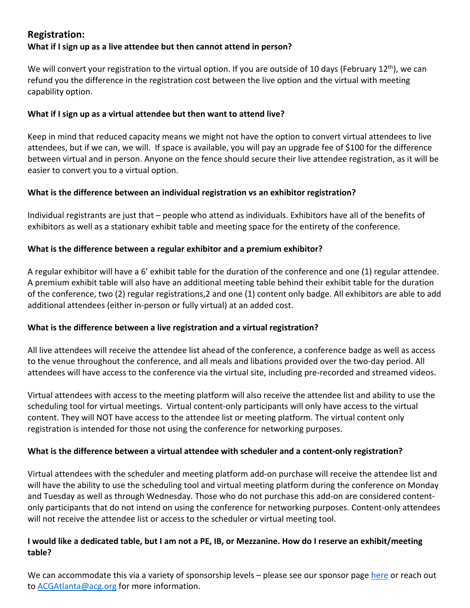## **Registration: What if I sign up as a live attendee but then cannot attend in person?**

We will convert your registration to the virtual option. If you are outside of 10 days (February 12<sup>th</sup>), we can refund you the difference in the registration cost between the live option and the virtual with meeting capability option.

## **What if I sign up as a virtual attendee but then want to attend live?**

Keep in mind that reduced capacity means we might not have the option to convert virtual attendees to live attendees, but if we can, we will. If space is available, you will pay an upgrade fee of \$100 for the difference between virtual and in person. Anyone on the fence should secure their live attendee registration, as it will be easier to convert you to a virtual option.

## **What is the difference between an individual registration vs an exhibitor registration?**

Individual registrants are just that – people who attend as individuals. Exhibitors have all of the benefits of exhibitors as well as a stationary exhibit table and meeting space for the entirety of the conference.

## **What is the difference between a regular exhibitor and a premium exhibitor?**

A regular exhibitor will have a 6' exhibit table for the duration of the conference and one (1) regular attendee. A premium exhibit table will also have an additional meeting table behind their exhibit table for the duration of the conference, two (2) regular registrations,2 and one (1) content only badge. All exhibitors are able to add additional attendees (either in‐person or fully virtual) at an added cost.

### **What is the difference between a live registration and a virtual registration?**

All live attendees will receive the attendee list ahead of the conference, a conference badge as well as access to the venue throughout the conference, and all meals and libations provided over the two‐day period. All attendees will have access to the conference via the virtual site, including pre‐recorded and streamed videos.

Virtual attendees with access to the meeting platform will also receive the attendee list and ability to use the scheduling tool for virtual meetings. Virtual content‐only participants will only have access to the virtual content. They will NOT have access to the attendee list or meeting platform. The virtual content only registration is intended for those not using the conference for networking purposes.

### **What is the difference between a virtual attendee with scheduler and a content‐only registration?**

Virtual attendees with the scheduler and meeting platform add‐on purchase will receive the attendee list and will have the ability to use the scheduling tool and virtual meeting platform during the conference on Monday and Tuesday as well as through Wednesday. Those who do not purchase this add‐on are considered content‐ only participants that do not intend on using the conference for networking purposes. Content‐only attendees will not receive the attendee list or access to the scheduler or virtual meeting tool.

## I would like a dedicated table, but I am not a PE, IB, or Mezzanine. How do I reserve an exhibit/meeting **table?**

We can accommodate this via a variety of sponsorship levels – please see our sponsor page here or reach out to ACGAtlanta@acg.org for more information.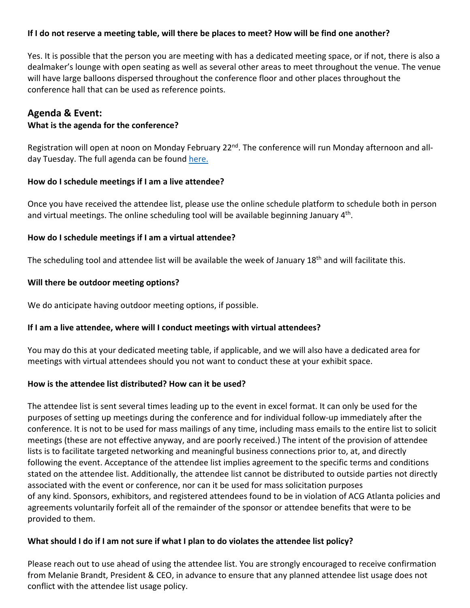### If I do not reserve a meeting table, will there be places to meet? How will be find one another?

Yes. It is possible that the person you are meeting with has a dedicated meeting space, or if not, there is also a dealmaker's lounge with open seating as well as several other areas to meet throughout the venue. The venue will have large balloons dispersed throughout the conference floor and other places throughout the conference hall that can be used as reference points.

## **Agenda & Event:**

### **What is the agenda for the conference?**

Registration will open at noon on Monday February 22<sup>nd</sup>. The conference will run Monday afternoon and allday Tuesday. The full agenda can be found here.

#### **How do I schedule meetings if I am a live attendee?**

Once you have received the attendee list, please use the online schedule platform to schedule both in person and virtual meetings. The online scheduling tool will be available beginning January 4<sup>th</sup>.

### **How do I schedule meetings if I am a virtual attendee?**

The scheduling tool and attendee list will be available the week of January 18<sup>th</sup> and will facilitate this.

#### **Will there be outdoor meeting options?**

We do anticipate having outdoor meeting options, if possible.

### **If I am a live attendee, where will I conduct meetings with virtual attendees?**

You may do this at your dedicated meeting table, if applicable, and we will also have a dedicated area for meetings with virtual attendees should you not want to conduct these at your exhibit space.

#### **How is the attendee list distributed? How can it be used?**

The attendee list is sent several times leading up to the event in excel format. It can only be used for the purposes of setting up meetings during the conference and for individual follow‐up immediately after the conference. It is not to be used for mass mailings of any time, including mass emails to the entire list to solicit meetings (these are not effective anyway, and are poorly received.) The intent of the provision of attendee lists is to facilitate targeted networking and meaningful business connections prior to, at, and directly following the event. Acceptance of the attendee list implies agreement to the specific terms and conditions stated on the attendee list. Additionally, the attendee list cannot be distributed to outside parties not directly associated with the event or conference, nor can it be used for mass solicitation purposes of any kind. Sponsors, exhibitors, and registered attendees found to be in violation of ACG Atlanta policies and agreements voluntarily forfeit all of the remainder of the sponsor or attendee benefits that were to be provided to them.

### What should I do if I am not sure if what I plan to do violates the attendee list policy?

Please reach out to use ahead of using the attendee list. You are strongly encouraged to receive confirmation from Melanie Brandt, President & CEO, in advance to ensure that any planned attendee list usage does not conflict with the attendee list usage policy.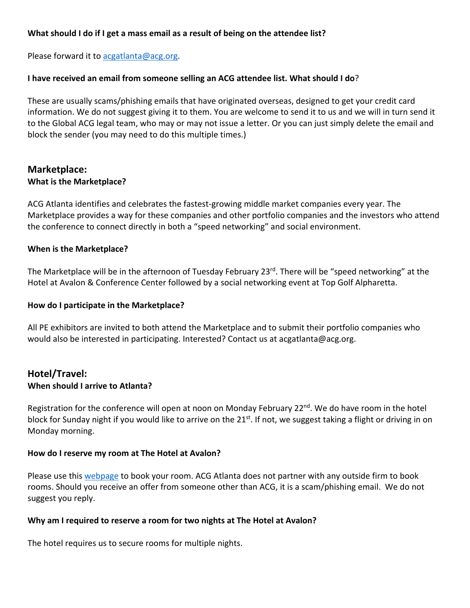### **What should I do if I get a mass email as a result of being on the attendee list?**

Please forward it to acgatlanta@acg.org.

#### **I have received an email from someone selling an ACG attendee list. What should I do**?

These are usually scams/phishing emails that have originated overseas, designed to get your credit card information. We do not suggest giving it to them. You are welcome to send it to us and we will in turn send it to the Global ACG legal team, who may or may not issue a letter. Or you can just simply delete the email and block the sender (you may need to do this multiple times.)

### **Marketplace: What is the Marketplace?**

ACG Atlanta identifies and celebrates the fastest‐growing middle market companies every year. The Marketplace provides a way for these companies and other portfolio companies and the investors who attend the conference to connect directly in both a "speed networking" and social environment.

#### **When is the Marketplace?**

The Marketplace will be in the afternoon of Tuesday February 23rd. There will be "speed networking" at the Hotel at Avalon & Conference Center followed by a social networking event at Top Golf Alpharetta.

#### **How do I participate in the Marketplace?**

All PE exhibitors are invited to both attend the Marketplace and to submit their portfolio companies who would also be interested in participating. Interested? Contact us at acgatlanta@acg.org.

### **Hotel/Travel: When should I arrive to Atlanta?**

Registration for the conference will open at noon on Monday February 22<sup>nd</sup>. We do have room in the hotel block for Sunday night if you would like to arrive on the  $21^{st}$ . If not, we suggest taking a flight or driving in on Monday morning.

#### **How do I reserve my room at The Hotel at Avalon?**

Please use this webpage to book your room. ACG Atlanta does not partner with any outside firm to book rooms. Should you receive an offer from someone other than ACG, it is a scam/phishing email. We do not suggest you reply.

#### **Why am I required to reserve a room for two nights at The Hotel at Avalon?**

The hotel requires us to secure rooms for multiple nights.